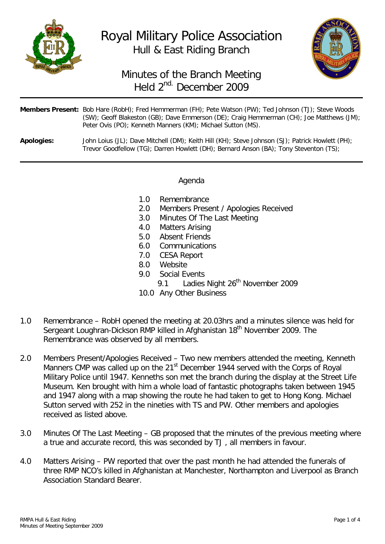

Royal Military Police Association Hull & East Riding Branch



# Minutes of the Branch Meeting Held 2nd. December 2009

|            | <b>Members Present:</b> Bob Hare (RobH); Fred Hemmerman (FH); Pete Watson (PW); Ted Johnson (TJ); Steve Woods<br>(SW); Geoff Blakeston (GB); Dave Emmerson (DE); Craig Hemmerman (CH); Joe Matthews (JM);<br>Peter Ovis (PO); Kenneth Manners (KM); Michael Sutton (MS). |
|------------|--------------------------------------------------------------------------------------------------------------------------------------------------------------------------------------------------------------------------------------------------------------------------|
| Apologies: | John Loius (JL); Dave Mitchell (DM); Keith Hill (KH); Steve Johnson (SJ); Patrick Howlett (PH);<br>Trevor Goodfellow (TG); Darren Howlett (DH); Bernard Anson (BA); Tony Steventon (TS);                                                                                 |

### Agenda

- 1.0 Remembrance<br>2.0 Members Prese
- Members Present / Apologies Received
- 3.0 Minutes Of The Last Meeting
- 
- 4.0 Matters Arising<br>5.0 Absent Friends Absent Friends
- 6.0 Communications
- 7.0 CESA Report
- 8.0 Website
- 9.0 Social Events
	- 9.1 Ladies Night 26<sup>th</sup> November 2009
- 10.0 Any Other Business
- 1.0 Remembrance RobH opened the meeting at 20.03hrs and a minutes silence was held for Sergeant Loughran-Dickson RMP killed in Afghanistan 18<sup>th</sup> November 2009. The Remembrance was observed by all members.
- 2.0 Members Present/Apologies Received Two new members attended the meeting, Kenneth Manners CMP was called up on the 21<sup>st</sup> December 1944 served with the Corps of Royal Military Police until 1947. Kenneths son met the branch during the display at the Street Life Museum. Ken brought with him a whole load of fantastic photographs taken between 1945 and 1947 along with a map showing the route he had taken to get to Hong Kong. Michael Sutton served with 252 in the nineties with TS and PW. Other members and apologies received as listed above.
- 3.0 Minutes Of The Last Meeting GB proposed that the minutes of the previous meeting where a true and accurate record, this was seconded by TJ , all members in favour.
- 4.0 Matters Arising PW reported that over the past month he had attended the funerals of three RMP NCO's killed in Afghanistan at Manchester, Northampton and Liverpool as Branch Association Standard Bearer.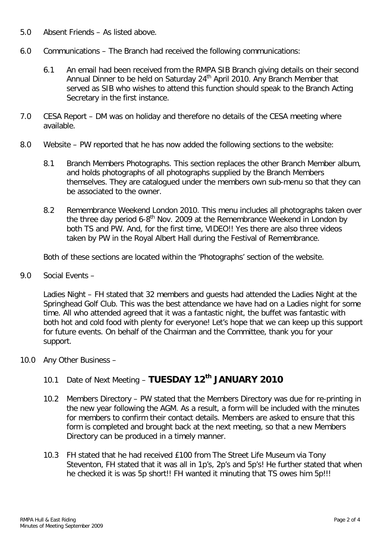- 5.0 Absent Friends As listed above.
- 6.0 Communications The Branch had received the following communications:
	- 6.1 An email had been received from the RMPA SIB Branch giving details on their second Annual Dinner to be held on Saturday 24<sup>th</sup> April 2010. Any Branch Member that served as SIB who wishes to attend this function should speak to the Branch Acting Secretary in the first instance.
- 7.0 CESA Report DM was on holiday and therefore no details of the CESA meeting where available.
- 8.0 Website PW reported that he has now added the following sections to the website:
	- 8.1 Branch Members Photographs. This section replaces the other Branch Member album, and holds photographs of all photographs supplied by the Branch Members themselves. They are catalogued under the members own sub-menu so that they can be associated to the owner.
	- 8.2 Remembrance Weekend London 2010. This menu includes all photographs taken over the three day period  $6-8^{th}$  Nov. 2009 at the Remembrance Weekend in London by both TS and PW. And, for the first time, VIDEO!! Yes there are also three videos taken by PW in the Royal Albert Hall during the Festival of Remembrance.

Both of these sections are located within the 'Photographs' section of the website.

9.0 Social Events –

Ladies Night – FH stated that 32 members and guests had attended the Ladies Night at the Springhead Golf Club. This was the best attendance we have had on a Ladies night for some time. All who attended agreed that it was a fantastic night, the buffet was fantastic with both hot and cold food with plenty for everyone! Let's hope that we can keep up this support for future events. On behalf of the Chairman and the Committee, thank you for your support.

10.0 Any Other Business –

## 10.1 Date of Next Meeting – **TUESDAY 12th JANUARY 2010**

- 10.2 Members Directory PW stated that the Members Directory was due for re-printing in the new year following the AGM. As a result, a form will be included with the minutes for members to confirm their contact details. Members are asked to ensure that this form is completed and brought back at the next meeting, so that a new Members Directory can be produced in a timely manner.
- 10.3 FH stated that he had received £100 from The Street Life Museum via Tony Steventon, FH stated that it was all in 1p's, 2p's and 5p's! He further stated that when he checked it is was 5p short!! FH wanted it minuting that TS owes him 5p!!!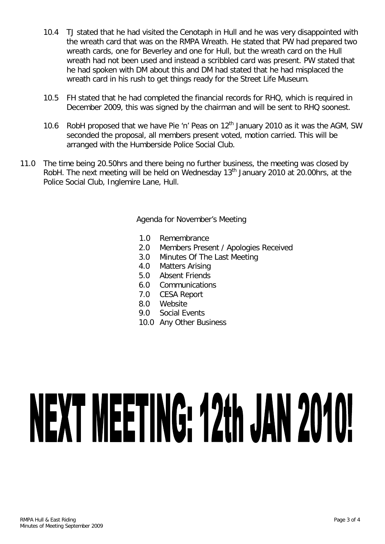- 10.4 TJ stated that he had visited the Cenotaph in Hull and he was very disappointed with the wreath card that was on the RMPA Wreath. He stated that PW had prepared two wreath cards, one for Beverley and one for Hull, but the wreath card on the Hull wreath had not been used and instead a scribbled card was present. PW stated that he had spoken with DM about this and DM had stated that he had misplaced the wreath card in his rush to get things ready for the Street Life Museum.
- 10.5 FH stated that he had completed the financial records for RHQ, which is required in December 2009, this was signed by the chairman and will be sent to RHQ soonest.
- 10.6 RobH proposed that we have Pie 'n' Peas on  $12<sup>th</sup>$  January 2010 as it was the AGM, SW seconded the proposal, all members present voted, motion carried. This will be arranged with the Humberside Police Social Club.
- 11.0 The time being 20.50hrs and there being no further business, the meeting was closed by RobH. The next meeting will be held on Wednesday 13<sup>th</sup> January 2010 at 20.00hrs, at the Police Social Club, Inglemire Lane, Hull.

Agenda for November's Meeting

- 1.0 Remembrance
- 2.0 Members Present / Apologies Received
- 3.0 Minutes Of The Last Meeting<br>4.0 Matters Arising
- Matters Arising
- 5.0 Absent Friends
- 6.0 Communications<br>7.0 CESA Report
- 7.0 CESA Report
- 8.0 Website
- 9.0 Social Events
- 10.0 Any Other Business

# NEXT MEETING: 12th JAN 2010!